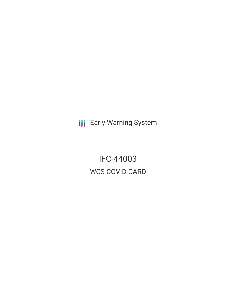**III** Early Warning System

IFC-44003 WCS COVID CARD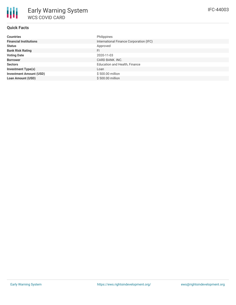# **Quick Facts**

| <b>Countries</b>               | Philippines                             |
|--------------------------------|-----------------------------------------|
| <b>Financial Institutions</b>  | International Finance Corporation (IFC) |
| <b>Status</b>                  | Approved                                |
| <b>Bank Risk Rating</b>        | FI                                      |
| <b>Voting Date</b>             | 2020-11-03                              |
| <b>Borrower</b>                | CARD BANK, INC.                         |
| <b>Sectors</b>                 | <b>Education and Health, Finance</b>    |
| <b>Investment Type(s)</b>      | Loan                                    |
| <b>Investment Amount (USD)</b> | \$500.00 million                        |
| <b>Loan Amount (USD)</b>       | \$500.00 million                        |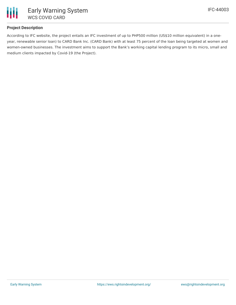

## **Project Description**

According to IFC website, the project entails an IFC investment of up to PHP500 million (US\$10 million equivalent) in a oneyear, renewable senior loan) to CARD Bank Inc. (CARD Bank) with at least 75 percent of the loan being targeted at women and women-owned businesses. The investment aims to support the Bank's working capital lending program to its micro, small and medium clients impacted by Covid-19 (the Project).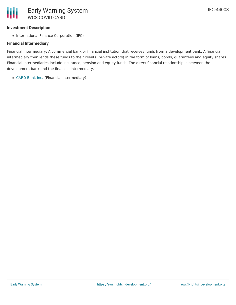### **Investment Description**

• International Finance Corporation (IFC)

### **Financial Intermediary**

Financial Intermediary: A commercial bank or financial institution that receives funds from a development bank. A financial intermediary then lends these funds to their clients (private actors) in the form of loans, bonds, guarantees and equity shares. Financial intermediaries include insurance, pension and equity funds. The direct financial relationship is between the development bank and the financial intermediary.

[CARD](file:///actor/3454/) Bank Inc. (Financial Intermediary)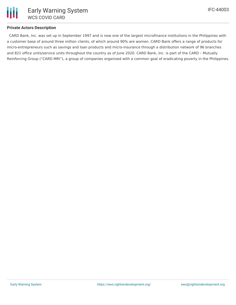

### **Private Actors Description**

CARD Bank, Inc. was set up in September 1997 and is now one of the largest microfinance institutions in the Philippines with a customer base of around three million clients, of which around 90% are women. CARD Bank offers a range of products for micro-entrepreneurs such as savings and loan products and micro-insurance through a distribution network of 96 branches and 821 office units/service units throughout the country as of June 2020. CARD Bank, Inc. is part of the CARD – Mutually Reinforcing Group ("CARD MRI"), a group of companies organized with a common goal of eradicating poverty in the Philippines.